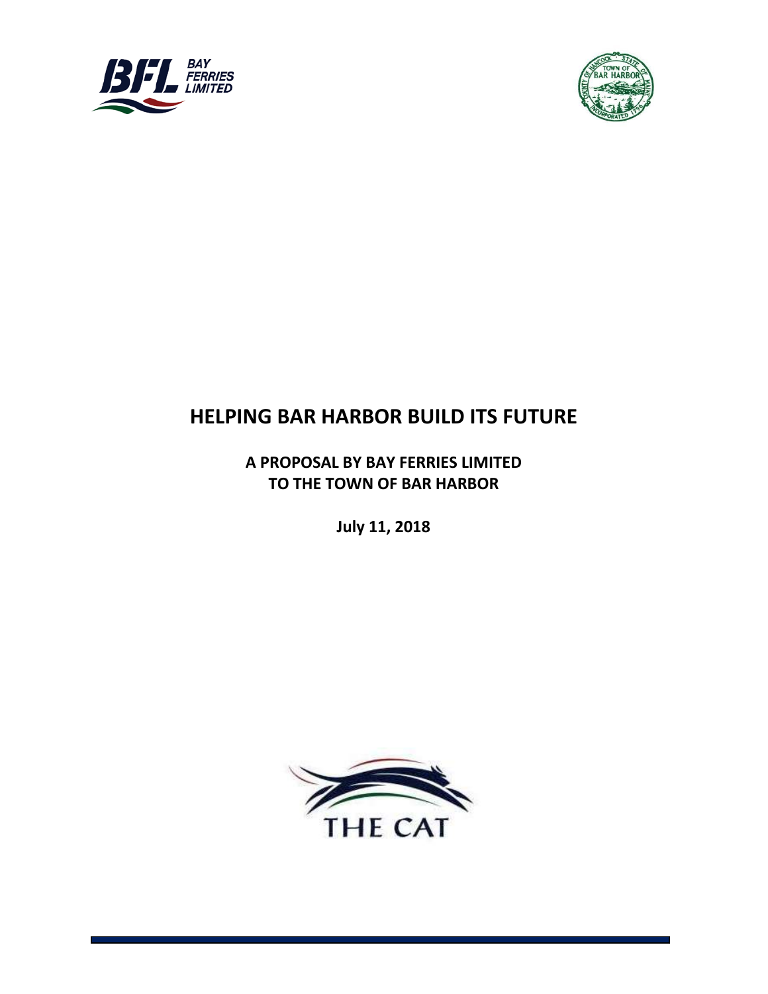



# **HELPING BAR HARBOR BUILD ITS FUTURE**

**A PROPOSAL BY BAY FERRIES LIMITED TO THE TOWN OF BAR HARBOR**

**July 11, 2018**

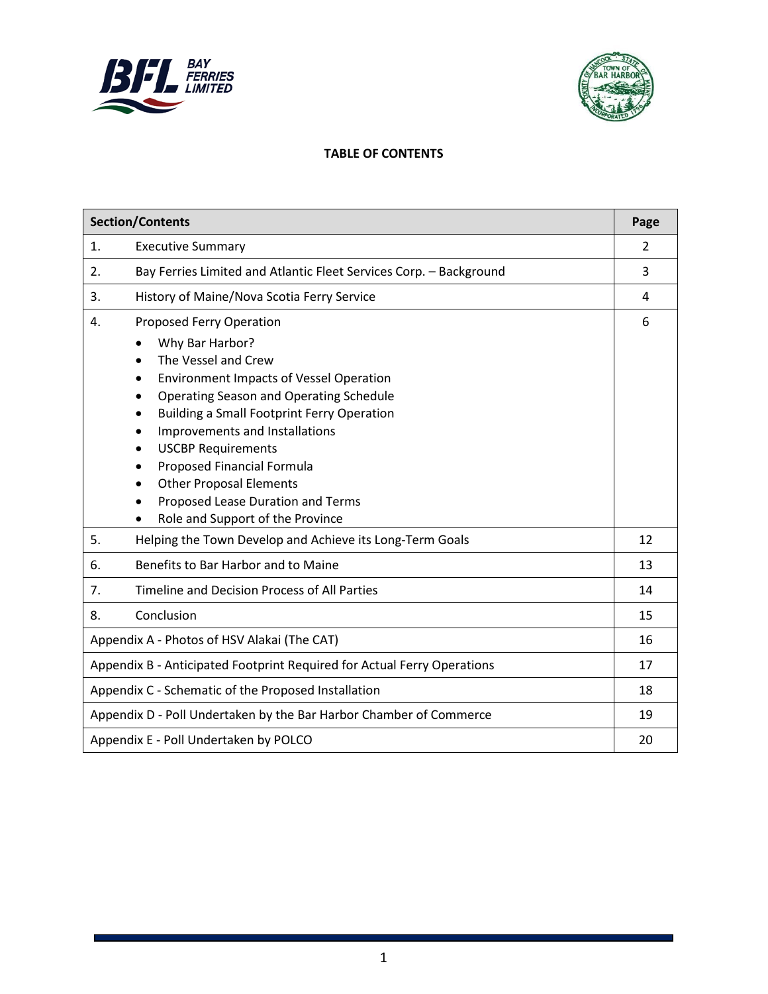



#### **TABLE OF CONTENTS**

| <b>Section/Contents</b>                                                                                                                                                                                                                                                                                                                                                                                                                                          | Page           |
|------------------------------------------------------------------------------------------------------------------------------------------------------------------------------------------------------------------------------------------------------------------------------------------------------------------------------------------------------------------------------------------------------------------------------------------------------------------|----------------|
| <b>Executive Summary</b><br>1.                                                                                                                                                                                                                                                                                                                                                                                                                                   | $\overline{2}$ |
| Bay Ferries Limited and Atlantic Fleet Services Corp. - Background<br>2.                                                                                                                                                                                                                                                                                                                                                                                         | 3              |
| History of Maine/Nova Scotia Ferry Service<br>3.                                                                                                                                                                                                                                                                                                                                                                                                                 | 4              |
| Proposed Ferry Operation<br>4.<br>Why Bar Harbor?<br>$\bullet$                                                                                                                                                                                                                                                                                                                                                                                                   | 6              |
| The Vessel and Crew<br>$\bullet$<br><b>Environment Impacts of Vessel Operation</b><br>Operating Season and Operating Schedule<br>$\bullet$<br><b>Building a Small Footprint Ferry Operation</b><br>$\bullet$<br>Improvements and Installations<br>$\bullet$<br><b>USCBP Requirements</b><br>Proposed Financial Formula<br>$\bullet$<br><b>Other Proposal Elements</b><br>$\bullet$<br>Proposed Lease Duration and Terms<br>Role and Support of the Province<br>٠ |                |
| Helping the Town Develop and Achieve its Long-Term Goals<br>5.                                                                                                                                                                                                                                                                                                                                                                                                   | 12             |
| Benefits to Bar Harbor and to Maine<br>6.                                                                                                                                                                                                                                                                                                                                                                                                                        | 13             |
| Timeline and Decision Process of All Parties<br>7.                                                                                                                                                                                                                                                                                                                                                                                                               | 14             |
| Conclusion<br>8.                                                                                                                                                                                                                                                                                                                                                                                                                                                 | 15             |
| Appendix A - Photos of HSV Alakai (The CAT)                                                                                                                                                                                                                                                                                                                                                                                                                      | 16             |
| Appendix B - Anticipated Footprint Required for Actual Ferry Operations                                                                                                                                                                                                                                                                                                                                                                                          | 17             |
| Appendix C - Schematic of the Proposed Installation                                                                                                                                                                                                                                                                                                                                                                                                              | 18             |
| Appendix D - Poll Undertaken by the Bar Harbor Chamber of Commerce                                                                                                                                                                                                                                                                                                                                                                                               | 19             |
| Appendix E - Poll Undertaken by POLCO                                                                                                                                                                                                                                                                                                                                                                                                                            | 20             |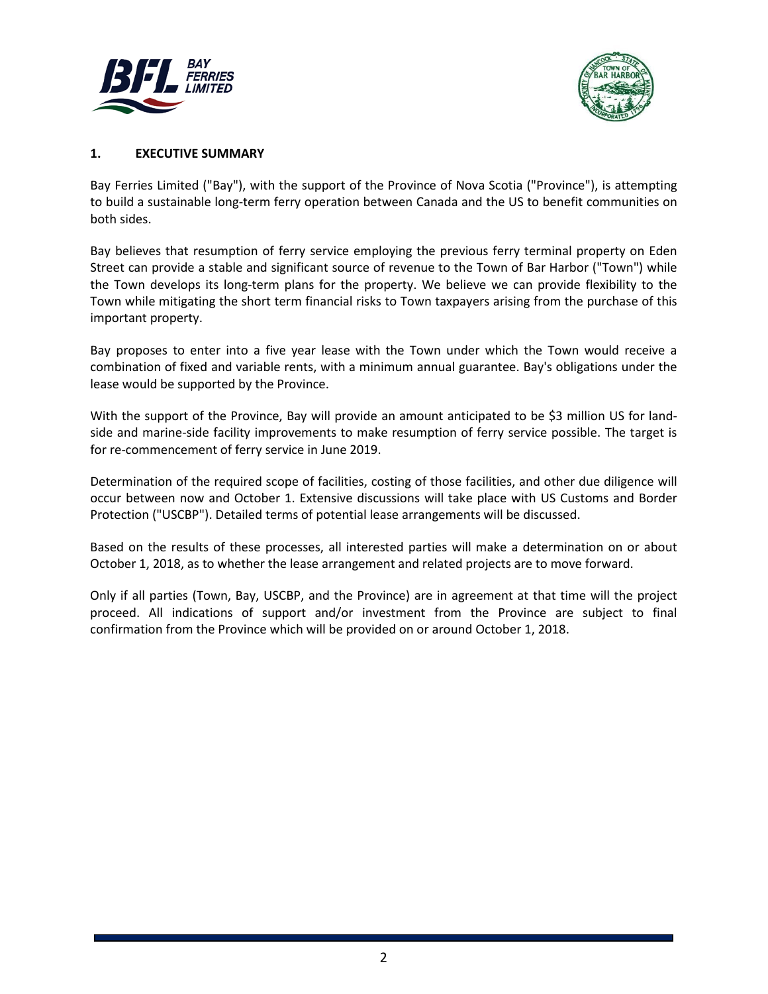



#### **1. EXECUTIVE SUMMARY**

Bay Ferries Limited ("Bay"), with the support of the Province of Nova Scotia ("Province"), is attempting to build a sustainable long-term ferry operation between Canada and the US to benefit communities on both sides.

Bay believes that resumption of ferry service employing the previous ferry terminal property on Eden Street can provide a stable and significant source of revenue to the Town of Bar Harbor ("Town") while the Town develops its long-term plans for the property. We believe we can provide flexibility to the Town while mitigating the short term financial risks to Town taxpayers arising from the purchase of this important property.

Bay proposes to enter into a five year lease with the Town under which the Town would receive a combination of fixed and variable rents, with a minimum annual guarantee. Bay's obligations under the lease would be supported by the Province.

With the support of the Province, Bay will provide an amount anticipated to be \$3 million US for landside and marine-side facility improvements to make resumption of ferry service possible. The target is for re-commencement of ferry service in June 2019.

Determination of the required scope of facilities, costing of those facilities, and other due diligence will occur between now and October 1. Extensive discussions will take place with US Customs and Border Protection ("USCBP"). Detailed terms of potential lease arrangements will be discussed.

Based on the results of these processes, all interested parties will make a determination on or about October 1, 2018, as to whether the lease arrangement and related projects are to move forward.

Only if all parties (Town, Bay, USCBP, and the Province) are in agreement at that time will the project proceed. All indications of support and/or investment from the Province are subject to final confirmation from the Province which will be provided on or around October 1, 2018.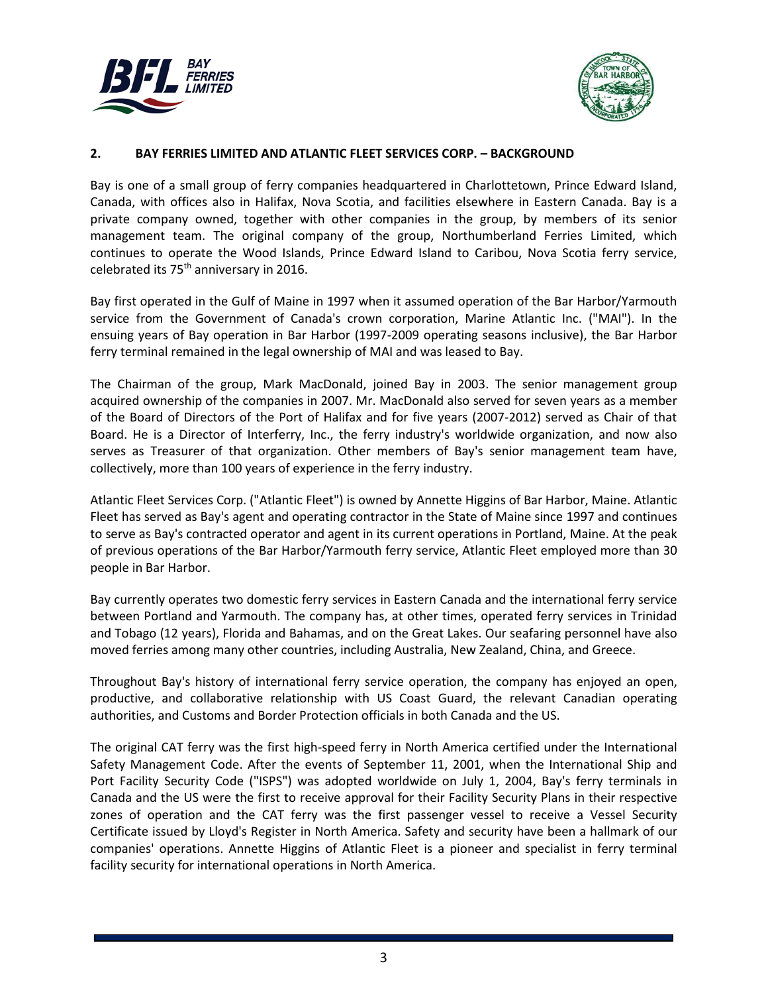



#### **2. BAY FERRIES LIMITED AND ATLANTIC FLEET SERVICES CORP. – BACKGROUND**

Bay is one of a small group of ferry companies headquartered in Charlottetown, Prince Edward Island, Canada, with offices also in Halifax, Nova Scotia, and facilities elsewhere in Eastern Canada. Bay is a private company owned, together with other companies in the group, by members of its senior management team. The original company of the group, Northumberland Ferries Limited, which continues to operate the Wood Islands, Prince Edward Island to Caribou, Nova Scotia ferry service, celebrated its 75<sup>th</sup> anniversary in 2016.

Bay first operated in the Gulf of Maine in 1997 when it assumed operation of the Bar Harbor/Yarmouth service from the Government of Canada's crown corporation, Marine Atlantic Inc. ("MAI"). In the ensuing years of Bay operation in Bar Harbor (1997-2009 operating seasons inclusive), the Bar Harbor ferry terminal remained in the legal ownership of MAI and was leased to Bay.

The Chairman of the group, Mark MacDonald, joined Bay in 2003. The senior management group acquired ownership of the companies in 2007. Mr. MacDonald also served for seven years as a member of the Board of Directors of the Port of Halifax and for five years (2007-2012) served as Chair of that Board. He is a Director of Interferry, Inc., the ferry industry's worldwide organization, and now also serves as Treasurer of that organization. Other members of Bay's senior management team have, collectively, more than 100 years of experience in the ferry industry.

Atlantic Fleet Services Corp. ("Atlantic Fleet") is owned by Annette Higgins of Bar Harbor, Maine. Atlantic Fleet has served as Bay's agent and operating contractor in the State of Maine since 1997 and continues to serve as Bay's contracted operator and agent in its current operations in Portland, Maine. At the peak of previous operations of the Bar Harbor/Yarmouth ferry service, Atlantic Fleet employed more than 30 people in Bar Harbor.

Bay currently operates two domestic ferry services in Eastern Canada and the international ferry service between Portland and Yarmouth. The company has, at other times, operated ferry services in Trinidad and Tobago (12 years), Florida and Bahamas, and on the Great Lakes. Our seafaring personnel have also moved ferries among many other countries, including Australia, New Zealand, China, and Greece.

Throughout Bay's history of international ferry service operation, the company has enjoyed an open, productive, and collaborative relationship with US Coast Guard, the relevant Canadian operating authorities, and Customs and Border Protection officials in both Canada and the US.

The original CAT ferry was the first high-speed ferry in North America certified under the International Safety Management Code. After the events of September 11, 2001, when the International Ship and Port Facility Security Code ("ISPS") was adopted worldwide on July 1, 2004, Bay's ferry terminals in Canada and the US were the first to receive approval for their Facility Security Plans in their respective zones of operation and the CAT ferry was the first passenger vessel to receive a Vessel Security Certificate issued by Lloyd's Register in North America. Safety and security have been a hallmark of our companies' operations. Annette Higgins of Atlantic Fleet is a pioneer and specialist in ferry terminal facility security for international operations in North America.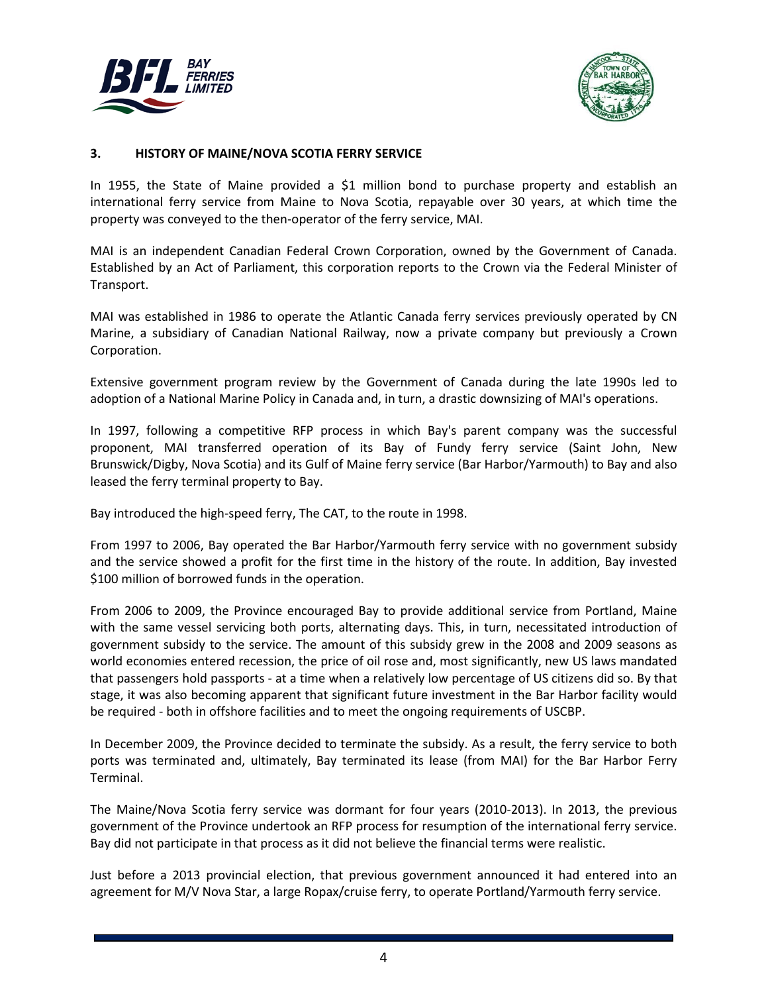



#### **3. HISTORY OF MAINE/NOVA SCOTIA FERRY SERVICE**

In 1955, the State of Maine provided a \$1 million bond to purchase property and establish an international ferry service from Maine to Nova Scotia, repayable over 30 years, at which time the property was conveyed to the then-operator of the ferry service, MAI.

MAI is an independent Canadian Federal Crown Corporation, owned by the Government of Canada. Established by an Act of Parliament, this corporation reports to the Crown via the Federal Minister of Transport.

MAI was established in 1986 to operate the Atlantic Canada ferry services previously operated by CN Marine, a subsidiary of Canadian National Railway, now a private company but previously a Crown Corporation.

Extensive government program review by the Government of Canada during the late 1990s led to adoption of a National Marine Policy in Canada and, in turn, a drastic downsizing of MAI's operations.

In 1997, following a competitive RFP process in which Bay's parent company was the successful proponent, MAI transferred operation of its Bay of Fundy ferry service (Saint John, New Brunswick/Digby, Nova Scotia) and its Gulf of Maine ferry service (Bar Harbor/Yarmouth) to Bay and also leased the ferry terminal property to Bay.

Bay introduced the high-speed ferry, The CAT, to the route in 1998.

From 1997 to 2006, Bay operated the Bar Harbor/Yarmouth ferry service with no government subsidy and the service showed a profit for the first time in the history of the route. In addition, Bay invested \$100 million of borrowed funds in the operation.

From 2006 to 2009, the Province encouraged Bay to provide additional service from Portland, Maine with the same vessel servicing both ports, alternating days. This, in turn, necessitated introduction of government subsidy to the service. The amount of this subsidy grew in the 2008 and 2009 seasons as world economies entered recession, the price of oil rose and, most significantly, new US laws mandated that passengers hold passports - at a time when a relatively low percentage of US citizens did so. By that stage, it was also becoming apparent that significant future investment in the Bar Harbor facility would be required - both in offshore facilities and to meet the ongoing requirements of USCBP.

In December 2009, the Province decided to terminate the subsidy. As a result, the ferry service to both ports was terminated and, ultimately, Bay terminated its lease (from MAI) for the Bar Harbor Ferry Terminal.

The Maine/Nova Scotia ferry service was dormant for four years (2010-2013). In 2013, the previous government of the Province undertook an RFP process for resumption of the international ferry service. Bay did not participate in that process as it did not believe the financial terms were realistic.

Just before a 2013 provincial election, that previous government announced it had entered into an agreement for M/V Nova Star, a large Ropax/cruise ferry, to operate Portland/Yarmouth ferry service.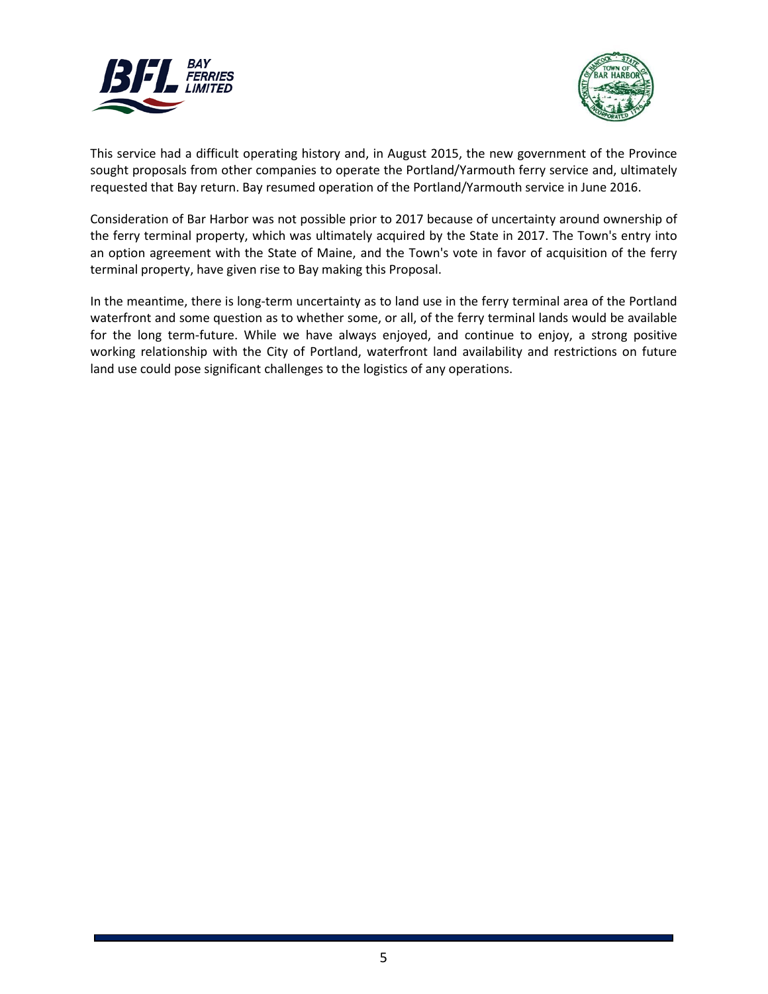



This service had a difficult operating history and, in August 2015, the new government of the Province sought proposals from other companies to operate the Portland/Yarmouth ferry service and, ultimately requested that Bay return. Bay resumed operation of the Portland/Yarmouth service in June 2016.

Consideration of Bar Harbor was not possible prior to 2017 because of uncertainty around ownership of the ferry terminal property, which was ultimately acquired by the State in 2017. The Town's entry into an option agreement with the State of Maine, and the Town's vote in favor of acquisition of the ferry terminal property, have given rise to Bay making this Proposal.

In the meantime, there is long-term uncertainty as to land use in the ferry terminal area of the Portland waterfront and some question as to whether some, or all, of the ferry terminal lands would be available for the long term-future. While we have always enjoyed, and continue to enjoy, a strong positive working relationship with the City of Portland, waterfront land availability and restrictions on future land use could pose significant challenges to the logistics of any operations.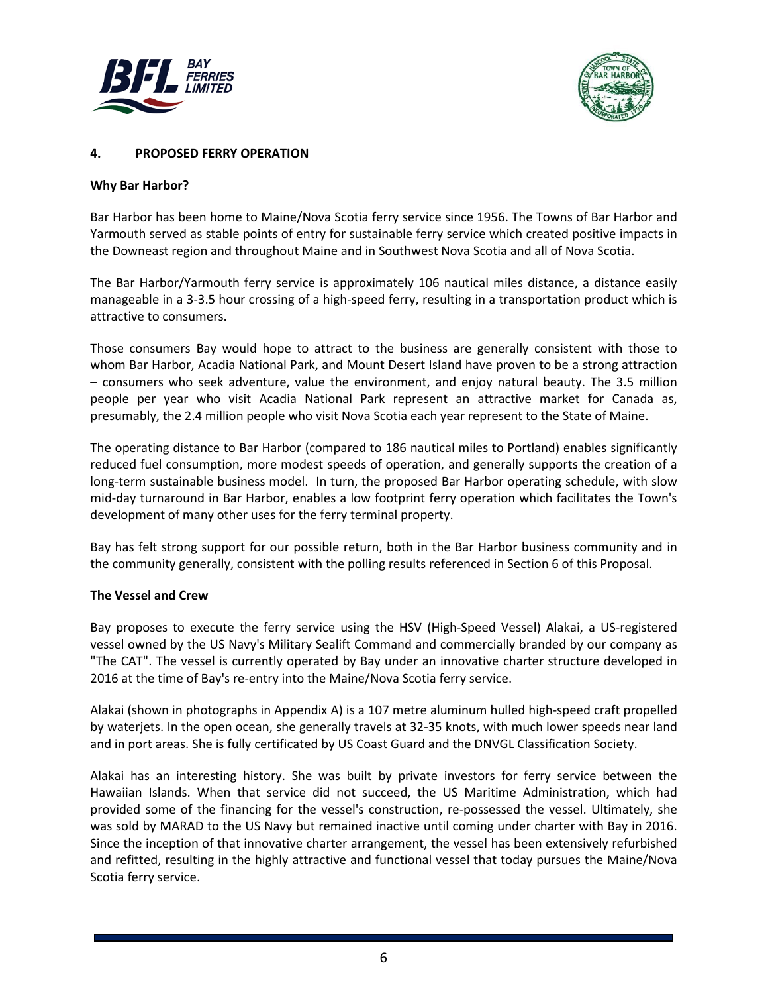



#### **4. PROPOSED FERRY OPERATION**

#### **Why Bar Harbor?**

Bar Harbor has been home to Maine/Nova Scotia ferry service since 1956. The Towns of Bar Harbor and Yarmouth served as stable points of entry for sustainable ferry service which created positive impacts in the Downeast region and throughout Maine and in Southwest Nova Scotia and all of Nova Scotia.

The Bar Harbor/Yarmouth ferry service is approximately 106 nautical miles distance, a distance easily manageable in a 3-3.5 hour crossing of a high-speed ferry, resulting in a transportation product which is attractive to consumers.

Those consumers Bay would hope to attract to the business are generally consistent with those to whom Bar Harbor, Acadia National Park, and Mount Desert Island have proven to be a strong attraction – consumers who seek adventure, value the environment, and enjoy natural beauty. The 3.5 million people per year who visit Acadia National Park represent an attractive market for Canada as, presumably, the 2.4 million people who visit Nova Scotia each year represent to the State of Maine.

The operating distance to Bar Harbor (compared to 186 nautical miles to Portland) enables significantly reduced fuel consumption, more modest speeds of operation, and generally supports the creation of a long-term sustainable business model. In turn, the proposed Bar Harbor operating schedule, with slow mid-day turnaround in Bar Harbor, enables a low footprint ferry operation which facilitates the Town's development of many other uses for the ferry terminal property.

Bay has felt strong support for our possible return, both in the Bar Harbor business community and in the community generally, consistent with the polling results referenced in Section 6 of this Proposal.

#### **The Vessel and Crew**

Bay proposes to execute the ferry service using the HSV (High-Speed Vessel) Alakai, a US-registered vessel owned by the US Navy's Military Sealift Command and commercially branded by our company as "The CAT". The vessel is currently operated by Bay under an innovative charter structure developed in 2016 at the time of Bay's re-entry into the Maine/Nova Scotia ferry service.

Alakai (shown in photographs in Appendix A) is a 107 metre aluminum hulled high-speed craft propelled by waterjets. In the open ocean, she generally travels at 32-35 knots, with much lower speeds near land and in port areas. She is fully certificated by US Coast Guard and the DNVGL Classification Society.

Alakai has an interesting history. She was built by private investors for ferry service between the Hawaiian Islands. When that service did not succeed, the US Maritime Administration, which had provided some of the financing for the vessel's construction, re-possessed the vessel. Ultimately, she was sold by MARAD to the US Navy but remained inactive until coming under charter with Bay in 2016. Since the inception of that innovative charter arrangement, the vessel has been extensively refurbished and refitted, resulting in the highly attractive and functional vessel that today pursues the Maine/Nova Scotia ferry service.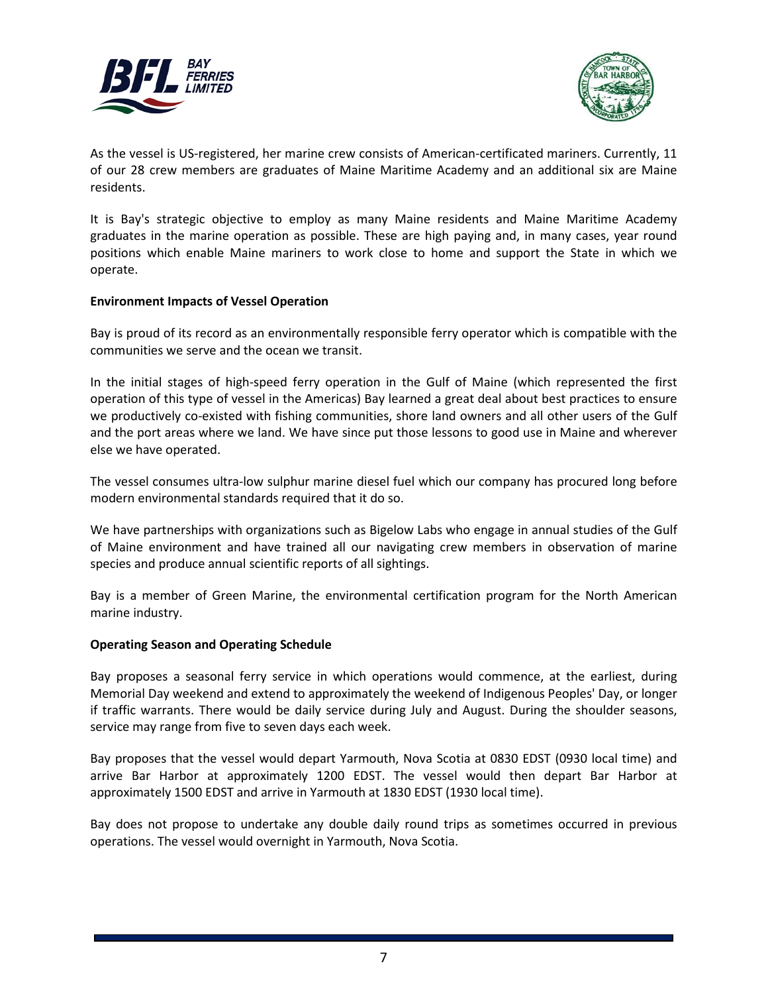



As the vessel is US-registered, her marine crew consists of American-certificated mariners. Currently, 11 of our 28 crew members are graduates of Maine Maritime Academy and an additional six are Maine residents.

It is Bay's strategic objective to employ as many Maine residents and Maine Maritime Academy graduates in the marine operation as possible. These are high paying and, in many cases, year round positions which enable Maine mariners to work close to home and support the State in which we operate.

#### **Environment Impacts of Vessel Operation**

Bay is proud of its record as an environmentally responsible ferry operator which is compatible with the communities we serve and the ocean we transit.

In the initial stages of high-speed ferry operation in the Gulf of Maine (which represented the first operation of this type of vessel in the Americas) Bay learned a great deal about best practices to ensure we productively co-existed with fishing communities, shore land owners and all other users of the Gulf and the port areas where we land. We have since put those lessons to good use in Maine and wherever else we have operated.

The vessel consumes ultra-low sulphur marine diesel fuel which our company has procured long before modern environmental standards required that it do so.

We have partnerships with organizations such as Bigelow Labs who engage in annual studies of the Gulf of Maine environment and have trained all our navigating crew members in observation of marine species and produce annual scientific reports of all sightings.

Bay is a member of Green Marine, the environmental certification program for the North American marine industry.

#### **Operating Season and Operating Schedule**

Bay proposes a seasonal ferry service in which operations would commence, at the earliest, during Memorial Day weekend and extend to approximately the weekend of Indigenous Peoples' Day, or longer if traffic warrants. There would be daily service during July and August. During the shoulder seasons, service may range from five to seven days each week.

Bay proposes that the vessel would depart Yarmouth, Nova Scotia at 0830 EDST (0930 local time) and arrive Bar Harbor at approximately 1200 EDST. The vessel would then depart Bar Harbor at approximately 1500 EDST and arrive in Yarmouth at 1830 EDST (1930 local time).

Bay does not propose to undertake any double daily round trips as sometimes occurred in previous operations. The vessel would overnight in Yarmouth, Nova Scotia.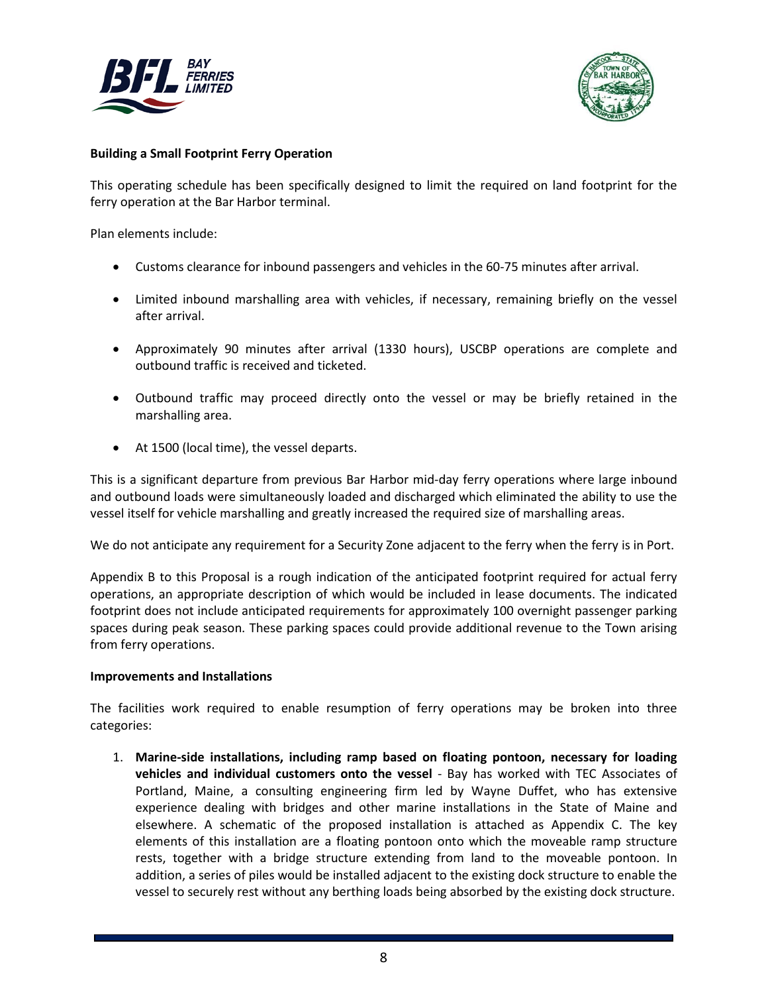



#### **Building a Small Footprint Ferry Operation**

This operating schedule has been specifically designed to limit the required on land footprint for the ferry operation at the Bar Harbor terminal.

Plan elements include:

- Customs clearance for inbound passengers and vehicles in the 60-75 minutes after arrival.
- Limited inbound marshalling area with vehicles, if necessary, remaining briefly on the vessel after arrival.
- Approximately 90 minutes after arrival (1330 hours), USCBP operations are complete and outbound traffic is received and ticketed.
- Outbound traffic may proceed directly onto the vessel or may be briefly retained in the marshalling area.
- At 1500 (local time), the vessel departs.

This is a significant departure from previous Bar Harbor mid-day ferry operations where large inbound and outbound loads were simultaneously loaded and discharged which eliminated the ability to use the vessel itself for vehicle marshalling and greatly increased the required size of marshalling areas.

We do not anticipate any requirement for a Security Zone adjacent to the ferry when the ferry is in Port.

Appendix B to this Proposal is a rough indication of the anticipated footprint required for actual ferry operations, an appropriate description of which would be included in lease documents. The indicated footprint does not include anticipated requirements for approximately 100 overnight passenger parking spaces during peak season. These parking spaces could provide additional revenue to the Town arising from ferry operations.

#### **Improvements and Installations**

The facilities work required to enable resumption of ferry operations may be broken into three categories:

1. **Marine-side installations, including ramp based on floating pontoon, necessary for loading vehicles and individual customers onto the vessel** - Bay has worked with TEC Associates of Portland, Maine, a consulting engineering firm led by Wayne Duffet, who has extensive experience dealing with bridges and other marine installations in the State of Maine and elsewhere. A schematic of the proposed installation is attached as Appendix C. The key elements of this installation are a floating pontoon onto which the moveable ramp structure rests, together with a bridge structure extending from land to the moveable pontoon. In addition, a series of piles would be installed adjacent to the existing dock structure to enable the vessel to securely rest without any berthing loads being absorbed by the existing dock structure.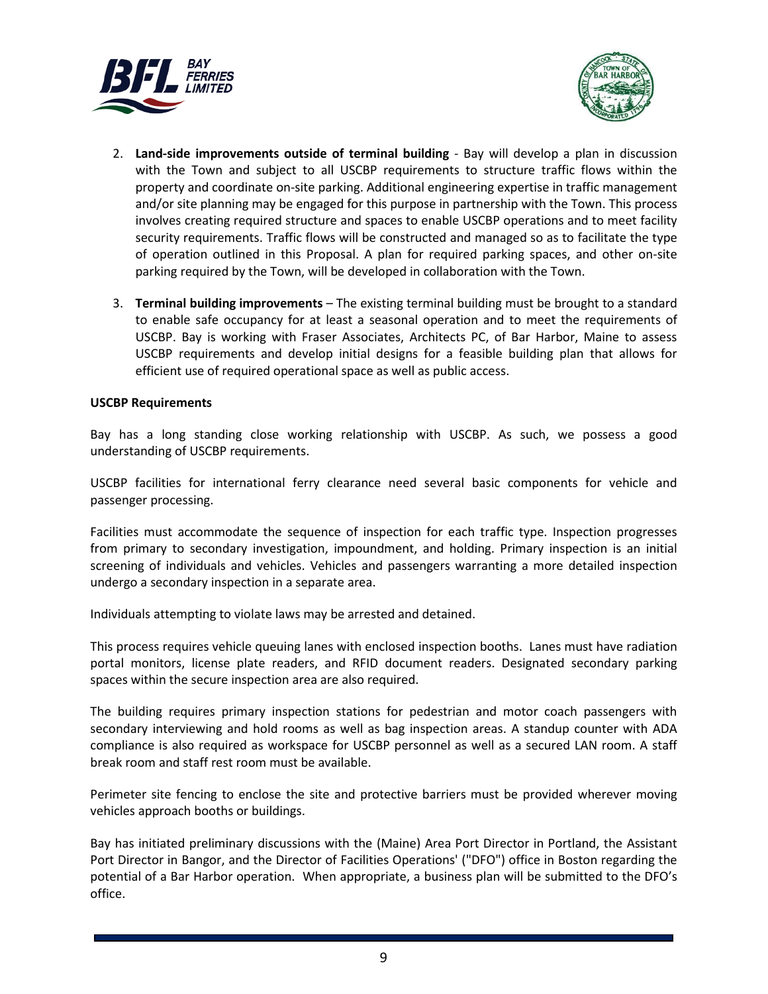



- 2. **Land-side improvements outside of terminal building** Bay will develop a plan in discussion with the Town and subject to all USCBP requirements to structure traffic flows within the property and coordinate on-site parking. Additional engineering expertise in traffic management and/or site planning may be engaged for this purpose in partnership with the Town. This process involves creating required structure and spaces to enable USCBP operations and to meet facility security requirements. Traffic flows will be constructed and managed so as to facilitate the type of operation outlined in this Proposal. A plan for required parking spaces, and other on-site parking required by the Town, will be developed in collaboration with the Town.
- 3. **Terminal building improvements** The existing terminal building must be brought to a standard to enable safe occupancy for at least a seasonal operation and to meet the requirements of USCBP. Bay is working with Fraser Associates, Architects PC, of Bar Harbor, Maine to assess USCBP requirements and develop initial designs for a feasible building plan that allows for efficient use of required operational space as well as public access.

#### **USCBP Requirements**

Bay has a long standing close working relationship with USCBP. As such, we possess a good understanding of USCBP requirements.

USCBP facilities for international ferry clearance need several basic components for vehicle and passenger processing.

Facilities must accommodate the sequence of inspection for each traffic type. Inspection progresses from primary to secondary investigation, impoundment, and holding. Primary inspection is an initial screening of individuals and vehicles. Vehicles and passengers warranting a more detailed inspection undergo a secondary inspection in a separate area.

Individuals attempting to violate laws may be arrested and detained.

This process requires vehicle queuing lanes with enclosed inspection booths. Lanes must have radiation portal monitors, license plate readers, and RFID document readers. Designated secondary parking spaces within the secure inspection area are also required.

The building requires primary inspection stations for pedestrian and motor coach passengers with secondary interviewing and hold rooms as well as bag inspection areas. A standup counter with ADA compliance is also required as workspace for USCBP personnel as well as a secured LAN room. A staff break room and staff rest room must be available.

Perimeter site fencing to enclose the site and protective barriers must be provided wherever moving vehicles approach booths or buildings.

Bay has initiated preliminary discussions with the (Maine) Area Port Director in Portland, the Assistant Port Director in Bangor, and the Director of Facilities Operations' ("DFO") office in Boston regarding the potential of a Bar Harbor operation. When appropriate, a business plan will be submitted to the DFO's office.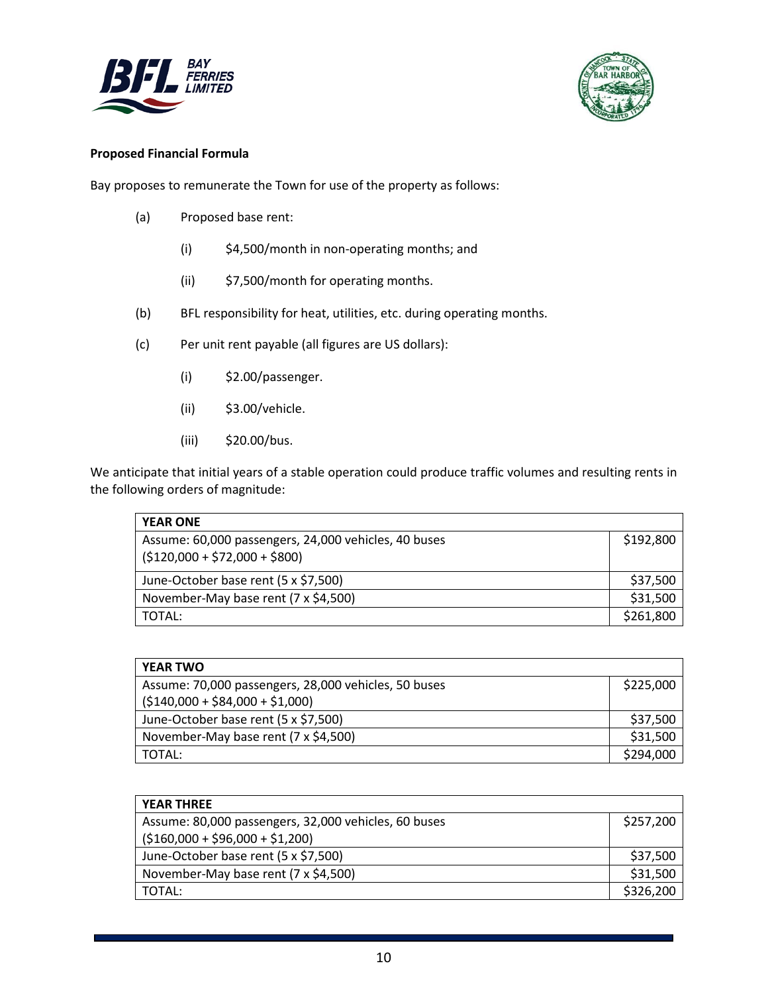



#### **Proposed Financial Formula**

Bay proposes to remunerate the Town for use of the property as follows:

- (a) Proposed base rent:
	- (i) \$4,500/month in non-operating months; and
	- (ii) \$7,500/month for operating months.
- (b) BFL responsibility for heat, utilities, etc. during operating months.
- (c) Per unit rent payable (all figures are US dollars):
	- (i) \$2.00/passenger.
	- (ii) \$3.00/vehicle.
	- (iii) \$20.00/bus.

We anticipate that initial years of a stable operation could produce traffic volumes and resulting rents in the following orders of magnitude:

| <b>YEAR ONE</b>                                      |           |
|------------------------------------------------------|-----------|
| Assume: 60,000 passengers, 24,000 vehicles, 40 buses | \$192,800 |
| $( $120,000 + $72,000 + $800)$                       |           |
| June-October base rent (5 x \$7,500)                 | \$37,500  |
| November-May base rent (7 x \$4,500)                 | \$31,500  |
| TOTAL:                                               | \$261,800 |

| <b>YEAR TWO</b>                                      |           |
|------------------------------------------------------|-----------|
| Assume: 70,000 passengers, 28,000 vehicles, 50 buses | \$225,000 |
| $(5140,000 + 584,000 + 51,000)$                      |           |
| June-October base rent (5 x \$7,500)                 | \$37,500  |
| November-May base rent (7 x \$4,500)                 | \$31,500  |
| TOTAL:                                               | \$294,000 |

| <b>YEAR THREE</b>                                    |           |
|------------------------------------------------------|-----------|
| Assume: 80,000 passengers, 32,000 vehicles, 60 buses | \$257,200 |
| $(5160,000 + 596,000 + 51,200)$                      |           |
| June-October base rent (5 x \$7,500)                 | \$37,500  |
| November-May base rent (7 x \$4,500)                 | \$31,500  |
| TOTAL:                                               | \$326,200 |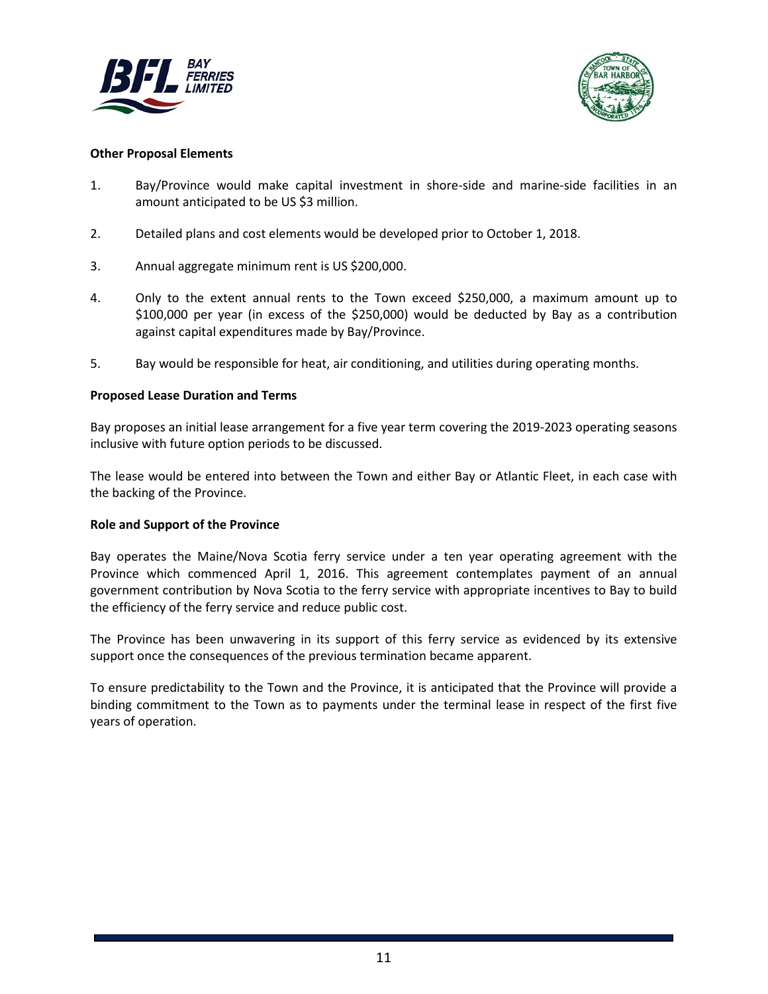



#### **Other Proposal Elements**

- 1. Bay/Province would make capital investment in shore-side and marine-side facilities in an amount anticipated to be US \$3 million.
- 2. Detailed plans and cost elements would be developed prior to October 1, 2018.
- 3. Annual aggregate minimum rent is US \$200,000.
- 4. Only to the extent annual rents to the Town exceed \$250,000, a maximum amount up to \$100,000 per year (in excess of the \$250,000) would be deducted by Bay as a contribution against capital expenditures made by Bay/Province.
- 5. Bay would be responsible for heat, air conditioning, and utilities during operating months.

#### **Proposed Lease Duration and Terms**

Bay proposes an initial lease arrangement for a five year term covering the 2019-2023 operating seasons inclusive with future option periods to be discussed.

The lease would be entered into between the Town and either Bay or Atlantic Fleet, in each case with the backing of the Province.

#### **Role and Support of the Province**

Bay operates the Maine/Nova Scotia ferry service under a ten year operating agreement with the Province which commenced April 1, 2016. This agreement contemplates payment of an annual government contribution by Nova Scotia to the ferry service with appropriate incentives to Bay to build the efficiency of the ferry service and reduce public cost.

The Province has been unwavering in its support of this ferry service as evidenced by its extensive support once the consequences of the previous termination became apparent.

To ensure predictability to the Town and the Province, it is anticipated that the Province will provide a binding commitment to the Town as to payments under the terminal lease in respect of the first five years of operation.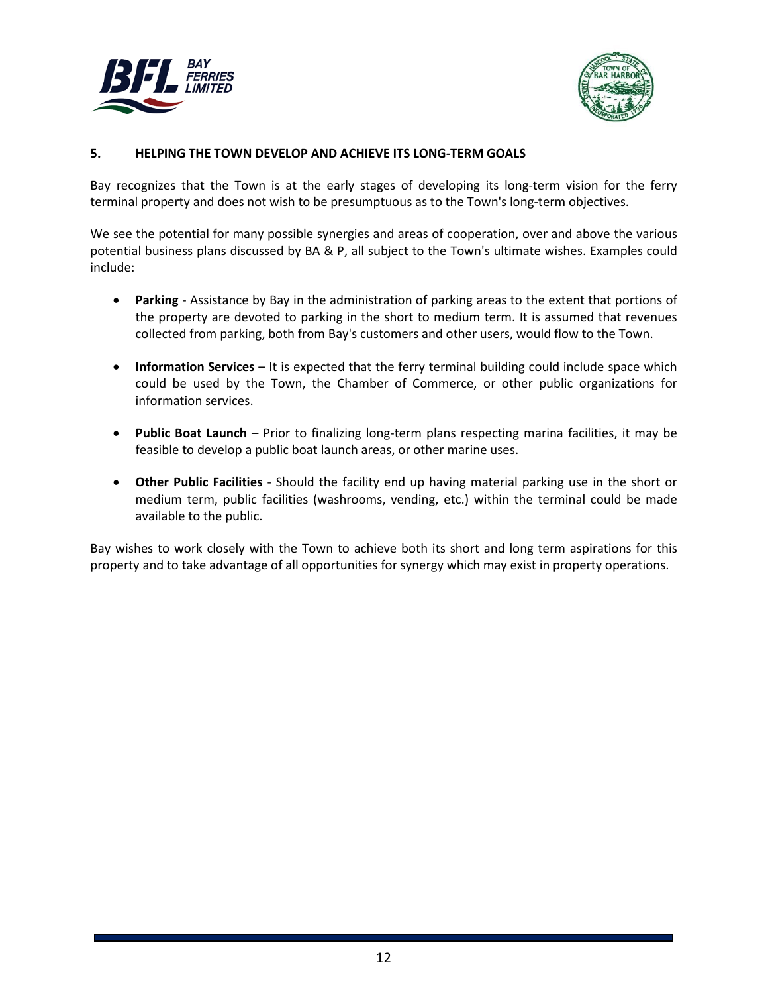



#### **5. HELPING THE TOWN DEVELOP AND ACHIEVE ITS LONG-TERM GOALS**

Bay recognizes that the Town is at the early stages of developing its long-term vision for the ferry terminal property and does not wish to be presumptuous as to the Town's long-term objectives.

We see the potential for many possible synergies and areas of cooperation, over and above the various potential business plans discussed by BA & P, all subject to the Town's ultimate wishes. Examples could include:

- **Parking** Assistance by Bay in the administration of parking areas to the extent that portions of the property are devoted to parking in the short to medium term. It is assumed that revenues collected from parking, both from Bay's customers and other users, would flow to the Town.
- **Information Services**  It is expected that the ferry terminal building could include space which could be used by the Town, the Chamber of Commerce, or other public organizations for information services.
- **Public Boat Launch** Prior to finalizing long-term plans respecting marina facilities, it may be feasible to develop a public boat launch areas, or other marine uses.
- **Other Public Facilities** Should the facility end up having material parking use in the short or medium term, public facilities (washrooms, vending, etc.) within the terminal could be made available to the public.

Bay wishes to work closely with the Town to achieve both its short and long term aspirations for this property and to take advantage of all opportunities for synergy which may exist in property operations.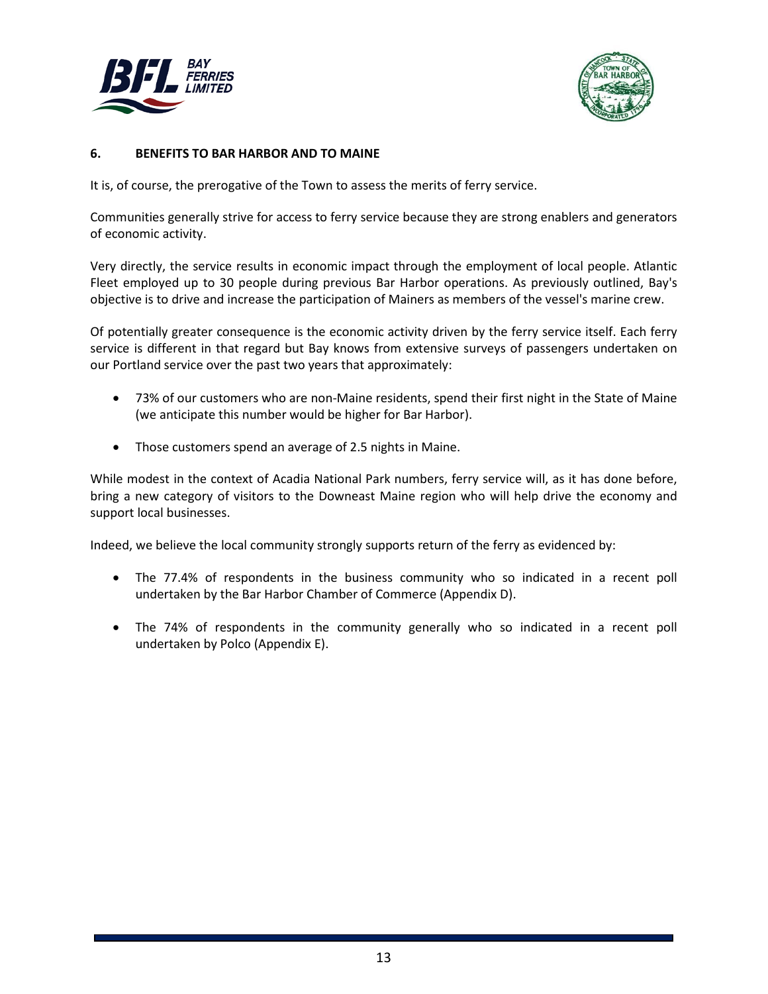



#### **6. BENEFITS TO BAR HARBOR AND TO MAINE**

It is, of course, the prerogative of the Town to assess the merits of ferry service.

Communities generally strive for access to ferry service because they are strong enablers and generators of economic activity.

Very directly, the service results in economic impact through the employment of local people. Atlantic Fleet employed up to 30 people during previous Bar Harbor operations. As previously outlined, Bay's objective is to drive and increase the participation of Mainers as members of the vessel's marine crew.

Of potentially greater consequence is the economic activity driven by the ferry service itself. Each ferry service is different in that regard but Bay knows from extensive surveys of passengers undertaken on our Portland service over the past two years that approximately:

- 73% of our customers who are non-Maine residents, spend their first night in the State of Maine (we anticipate this number would be higher for Bar Harbor).
- Those customers spend an average of 2.5 nights in Maine.

While modest in the context of Acadia National Park numbers, ferry service will, as it has done before, bring a new category of visitors to the Downeast Maine region who will help drive the economy and support local businesses.

Indeed, we believe the local community strongly supports return of the ferry as evidenced by:

- The 77.4% of respondents in the business community who so indicated in a recent poll undertaken by the Bar Harbor Chamber of Commerce (Appendix D).
- The 74% of respondents in the community generally who so indicated in a recent poll undertaken by Polco (Appendix E).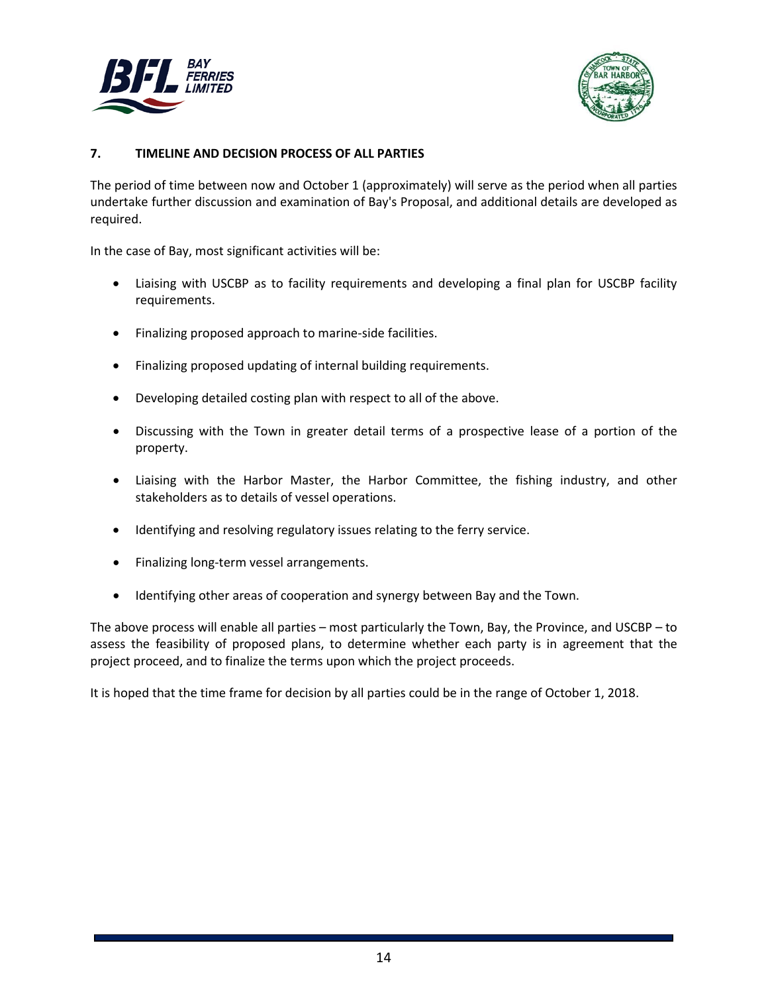



#### **7. TIMELINE AND DECISION PROCESS OF ALL PARTIES**

The period of time between now and October 1 (approximately) will serve as the period when all parties undertake further discussion and examination of Bay's Proposal, and additional details are developed as required.

In the case of Bay, most significant activities will be:

- Liaising with USCBP as to facility requirements and developing a final plan for USCBP facility requirements.
- Finalizing proposed approach to marine-side facilities.
- Finalizing proposed updating of internal building requirements.
- Developing detailed costing plan with respect to all of the above.
- Discussing with the Town in greater detail terms of a prospective lease of a portion of the property.
- Liaising with the Harbor Master, the Harbor Committee, the fishing industry, and other stakeholders as to details of vessel operations.
- Identifying and resolving regulatory issues relating to the ferry service.
- Finalizing long-term vessel arrangements.
- Identifying other areas of cooperation and synergy between Bay and the Town.

The above process will enable all parties – most particularly the Town, Bay, the Province, and USCBP – to assess the feasibility of proposed plans, to determine whether each party is in agreement that the project proceed, and to finalize the terms upon which the project proceeds.

It is hoped that the time frame for decision by all parties could be in the range of October 1, 2018.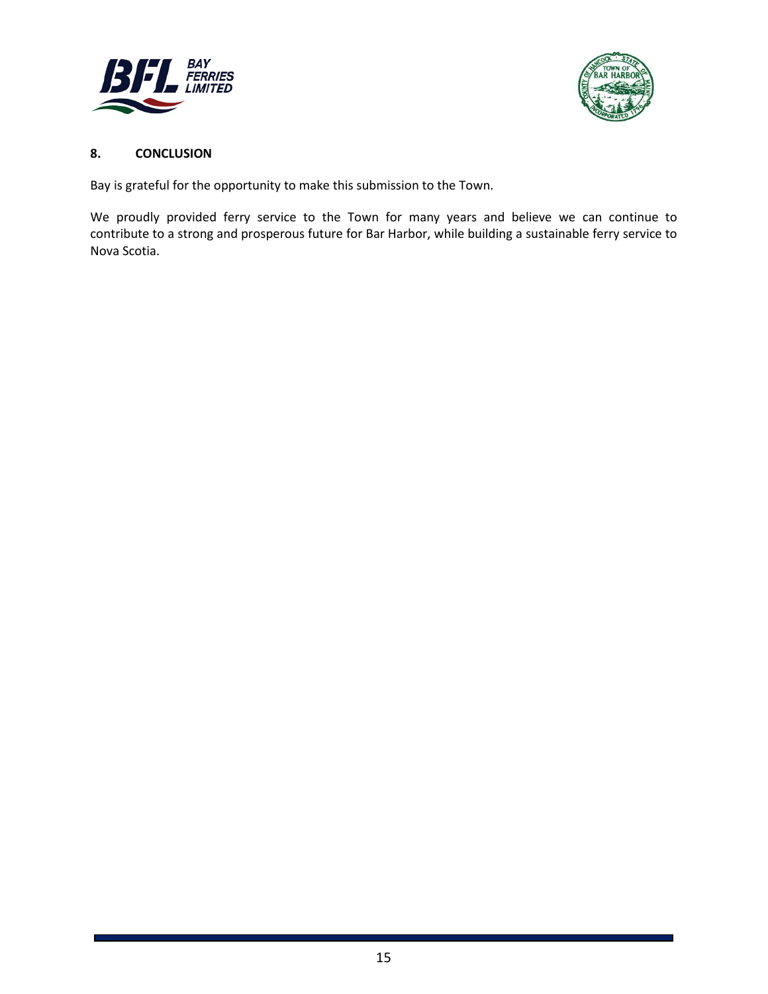



### **8. CONCLUSION**

Bay is grateful for the opportunity to make this submission to the Town.

We proudly provided ferry service to the Town for many years and believe we can continue to contribute to a strong and prosperous future for Bar Harbor, while building a sustainable ferry service to Nova Scotia.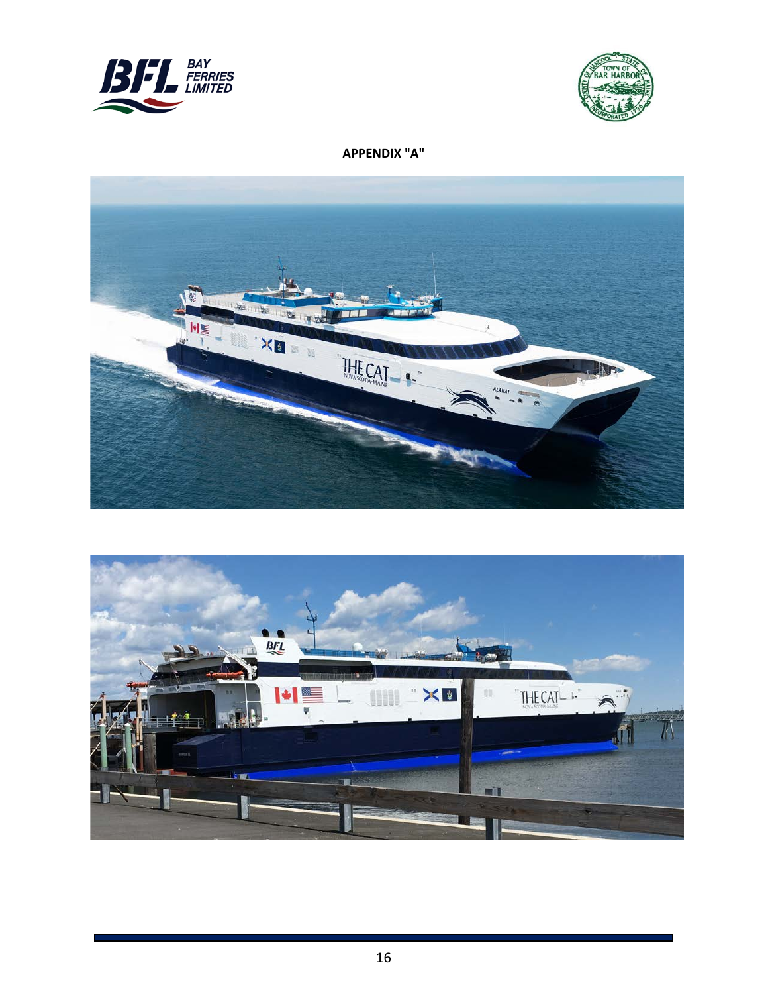



## **APPENDIX "A"**



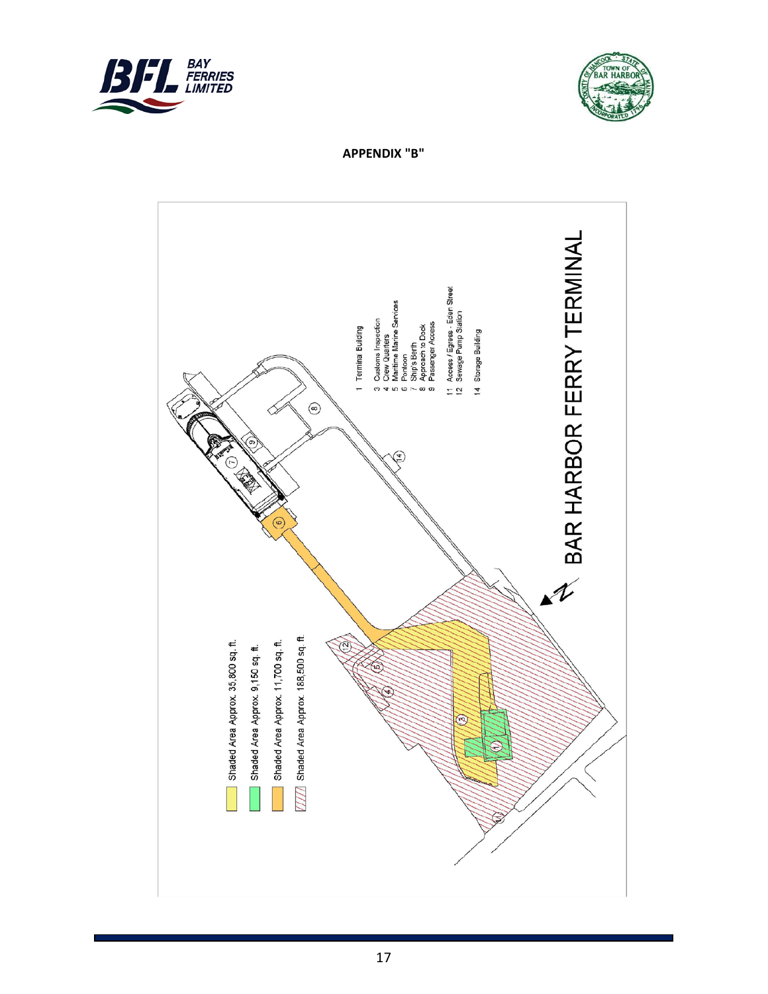



**APPENDIX "B"**

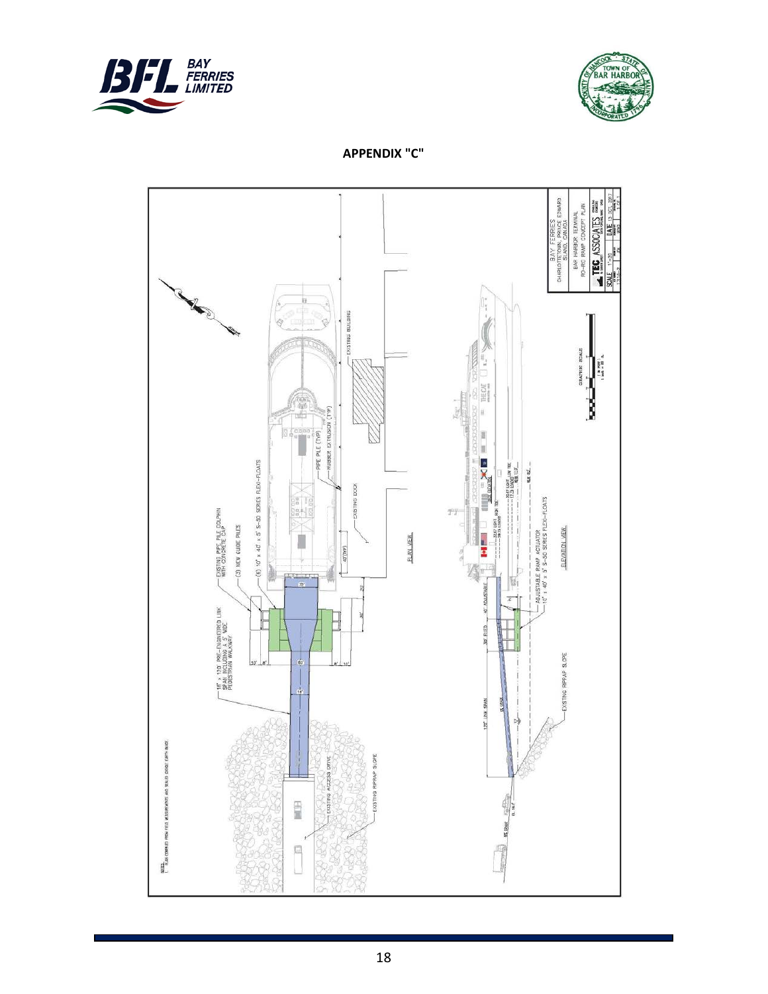



**APPENDIX "C"**

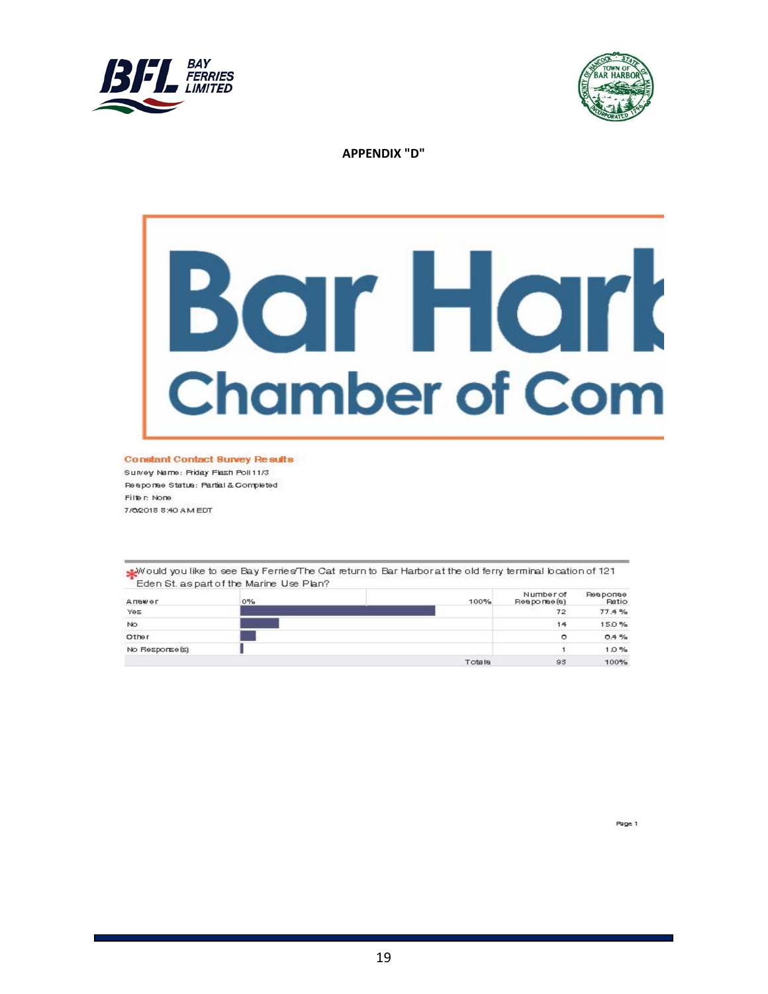



**APPENDIX "D"**

# Bar Hark **Chamber of Com**

**Constant Contact Survey Results** 

Survey Name: Priday Flash Poll 11/3 Response Status: Partial & Completed Filte r: None 7/02018 8:40 AM EDT

would you like to see Bay Ferries/The Cat return to Bar Harbor at the old ferry terminal location of 121 Eden St. as part of the Marine Use Plan?

| Answer          | $0\%$ | 100%    | Number of<br>Reapormee (a) | <b>Ревропее</b><br><b>Patio</b> |
|-----------------|-------|---------|----------------------------|---------------------------------|
| Yes             |       |         | <b>CANCER</b><br>72        | 77.4%                           |
| No              |       |         | 14                         | 15.0%                           |
| Other           |       |         | ▭                          | 0.4%                            |
| No Response [s] |       |         |                            | 1.0%                            |
|                 |       | Totalle | 93                         | 100%                            |

Page 1